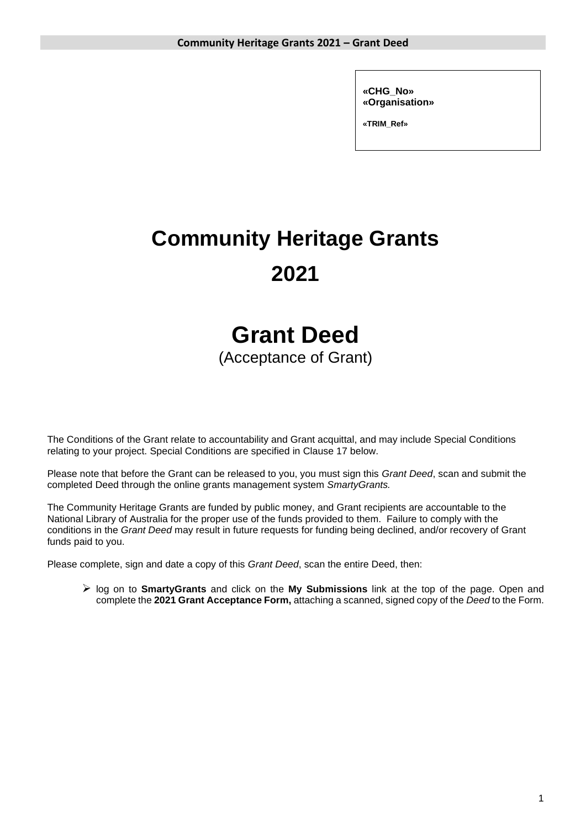**«CHG\_No» «Organisation»**

**«TRIM\_Ref»**

# **Community Heritage Grants 2021**

## **Grant Deed**

(Acceptance of Grant)

The Conditions of the Grant relate to accountability and Grant acquittal, and may include Special Conditions relating to your project. Special Conditions are specified in Clause 17 below.

Please note that before the Grant can be released to you, you must sign this *Grant Deed*, scan and submit the completed Deed through the online grants management system *SmartyGrants.*

The Community Heritage Grants are funded by public money, and Grant recipients are accountable to the National Library of Australia for the proper use of the funds provided to them. Failure to comply with the conditions in the *Grant Deed* may result in future requests for funding being declined, and/or recovery of Grant funds paid to you.

Please complete, sign and date a copy of this *Grant Deed*, scan the entire Deed, then:

➢ log on to **SmartyGrants** and click on the **My Submissions** link at the top of the page. Open and complete the **2021 Grant Acceptance Form,** attaching a scanned, signed copy of the *Deed* to the Form.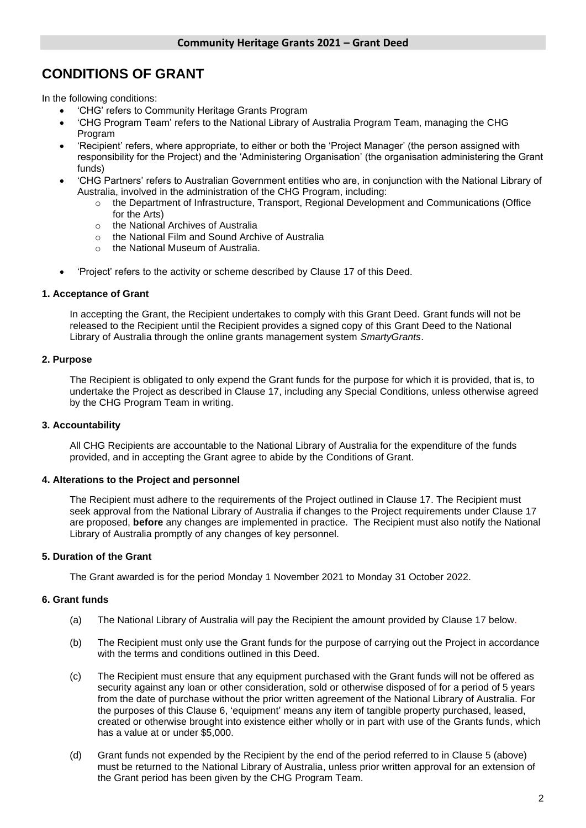### **CONDITIONS OF GRANT**

In the following conditions:

- 'CHG' refers to Community Heritage Grants Program
- 'CHG Program Team' refers to the National Library of Australia Program Team, managing the CHG Program
- 'Recipient' refers, where appropriate, to either or both the 'Project Manager' (the person assigned with responsibility for the Project) and the 'Administering Organisation' (the organisation administering the Grant funds)
- 'CHG Partners' refers to Australian Government entities who are, in conjunction with the National Library of Australia, involved in the administration of the CHG Program, including:
	- o the Department of Infrastructure, Transport, Regional Development and Communications (Office for the Arts)
	- o the National Archives of Australia
	- o the National Film and Sound Archive of Australia
	- o the National Museum of Australia.
- 'Project' refers to the activity or scheme described by Clause 17 of this Deed.

#### **1. Acceptance of Grant**

In accepting the Grant, the Recipient undertakes to comply with this Grant Deed. Grant funds will not be released to the Recipient until the Recipient provides a signed copy of this Grant Deed to the National Library of Australia through the online grants management system *SmartyGrants*.

#### **2. Purpose**

The Recipient is obligated to only expend the Grant funds for the purpose for which it is provided, that is, to undertake the Project as described in Clause 17, including any Special Conditions, unless otherwise agreed by the CHG Program Team in writing.

#### **3. Accountability**

All CHG Recipients are accountable to the National Library of Australia for the expenditure of the funds provided, and in accepting the Grant agree to abide by the Conditions of Grant.

#### **4. Alterations to the Project and personnel**

The Recipient must adhere to the requirements of the Project outlined in Clause 17. The Recipient must seek approval from the National Library of Australia if changes to the Project requirements under Clause 17 are proposed, **before** any changes are implemented in practice. The Recipient must also notify the National Library of Australia promptly of any changes of key personnel.

#### **5. Duration of the Grant**

The Grant awarded is for the period Monday 1 November 2021 to Monday 31 October 2022.

#### **6. Grant funds**

- (a) The National Library of Australia will pay the Recipient the amount provided by Clause 17 below.
- (b) The Recipient must only use the Grant funds for the purpose of carrying out the Project in accordance with the terms and conditions outlined in this Deed.
- (c) The Recipient must ensure that any equipment purchased with the Grant funds will not be offered as security against any loan or other consideration, sold or otherwise disposed of for a period of 5 years from the date of purchase without the prior written agreement of the National Library of Australia. For the purposes of this Clause 6, 'equipment' means any item of tangible property purchased, leased, created or otherwise brought into existence either wholly or in part with use of the Grants funds, which has a value at or under \$5,000.
- (d) Grant funds not expended by the Recipient by the end of the period referred to in Clause 5 (above) must be returned to the National Library of Australia, unless prior written approval for an extension of the Grant period has been given by the CHG Program Team.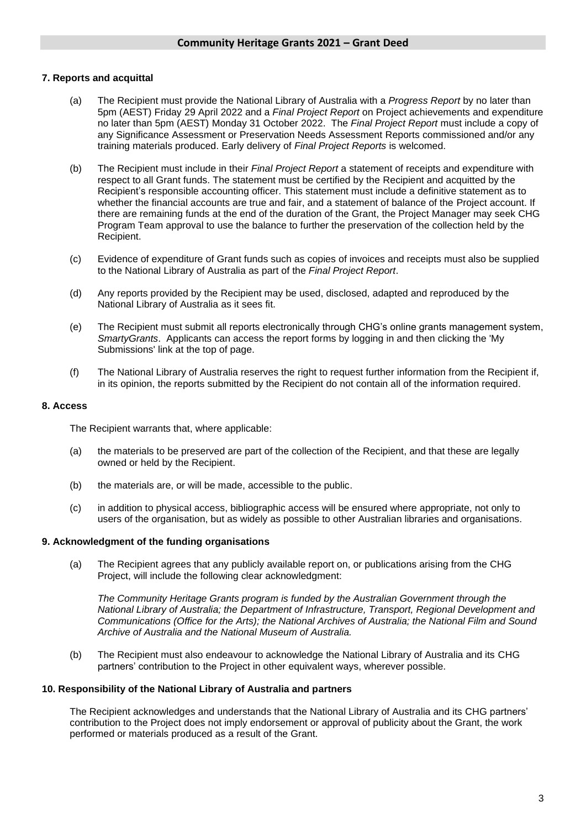#### **7. Reports and acquittal**

- (a) The Recipient must provide the National Library of Australia with a *Progress Report* by no later than 5pm (AEST) Friday 29 April 2022 and a *Final Project Report* on Project achievements and expenditure no later than 5pm (AEST) Monday 31 October 2022. The *Final Project Report* must include a copy of any Significance Assessment or Preservation Needs Assessment Reports commissioned and/or any training materials produced. Early delivery of *Final Project Reports* is welcomed.
- (b) The Recipient must include in their *Final Project Report* a statement of receipts and expenditure with respect to all Grant funds. The statement must be certified by the Recipient and acquitted by the Recipient's responsible accounting officer. This statement must include a definitive statement as to whether the financial accounts are true and fair, and a statement of balance of the Project account. If there are remaining funds at the end of the duration of the Grant, the Project Manager may seek CHG Program Team approval to use the balance to further the preservation of the collection held by the Recipient.
- (c) Evidence of expenditure of Grant funds such as copies of invoices and receipts must also be supplied to the National Library of Australia as part of the *Final Project Report*.
- (d) Any reports provided by the Recipient may be used, disclosed, adapted and reproduced by the National Library of Australia as it sees fit.
- (e) The Recipient must submit all reports electronically through CHG's online grants management system, *SmartyGrants*. Applicants can access the report forms by logging in and then clicking the 'My Submissions' link at the top of page.
- (f) The National Library of Australia reserves the right to request further information from the Recipient if, in its opinion, the reports submitted by the Recipient do not contain all of the information required.

#### **8. Access**

The Recipient warrants that, where applicable:

- (a) the materials to be preserved are part of the collection of the Recipient, and that these are legally owned or held by the Recipient.
- (b) the materials are, or will be made, accessible to the public.
- (c) in addition to physical access, bibliographic access will be ensured where appropriate, not only to users of the organisation, but as widely as possible to other Australian libraries and organisations.

#### **9. Acknowledgment of the funding organisations**

(a) The Recipient agrees that any publicly available report on, or publications arising from the CHG Project, will include the following clear acknowledgment:

*The Community Heritage Grants program is funded by the Australian Government through the National Library of Australia; the Department of Infrastructure, Transport, Regional Development and Communications (Office for the Arts); the National Archives of Australia; the National Film and Sound Archive of Australia and the National Museum of Australia.*

(b) The Recipient must also endeavour to acknowledge the National Library of Australia and its CHG partners' contribution to the Project in other equivalent ways, wherever possible.

#### **10. Responsibility of the National Library of Australia and partners**

The Recipient acknowledges and understands that the National Library of Australia and its CHG partners' contribution to the Project does not imply endorsement or approval of publicity about the Grant, the work performed or materials produced as a result of the Grant.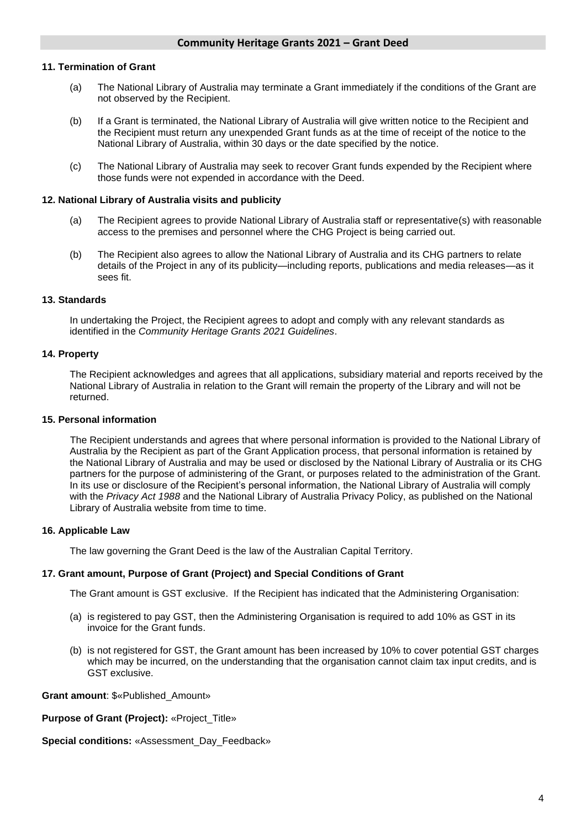#### **11. Termination of Grant**

- (a) The National Library of Australia may terminate a Grant immediately if the conditions of the Grant are not observed by the Recipient.
- (b) If a Grant is terminated, the National Library of Australia will give written notice to the Recipient and the Recipient must return any unexpended Grant funds as at the time of receipt of the notice to the National Library of Australia, within 30 days or the date specified by the notice.
- (c) The National Library of Australia may seek to recover Grant funds expended by the Recipient where those funds were not expended in accordance with the Deed.

#### **12. National Library of Australia visits and publicity**

- (a) The Recipient agrees to provide National Library of Australia staff or representative(s) with reasonable access to the premises and personnel where the CHG Project is being carried out.
- (b) The Recipient also agrees to allow the National Library of Australia and its CHG partners to relate details of the Project in any of its publicity—including reports, publications and media releases—as it sees fit.

#### **13. Standards**

In undertaking the Project, the Recipient agrees to adopt and comply with any relevant standards as identified in the *Community Heritage Grants 2021 Guidelines*.

#### **14. Property**

The Recipient acknowledges and agrees that all applications, subsidiary material and reports received by the National Library of Australia in relation to the Grant will remain the property of the Library and will not be returned.

#### **15. Personal information**

The Recipient understands and agrees that where personal information is provided to the National Library of Australia by the Recipient as part of the Grant Application process, that personal information is retained by the National Library of Australia and may be used or disclosed by the National Library of Australia or its CHG partners for the purpose of administering of the Grant, or purposes related to the administration of the Grant. In its use or disclosure of the Recipient's personal information, the National Library of Australia will comply with the *Privacy Act 1988* and the National Library of Australia Privacy Policy, as published on the National Library of Australia website from time to time.

#### **16. Applicable Law**

The law governing the Grant Deed is the law of the Australian Capital Territory.

#### **17. Grant amount, Purpose of Grant (Project) and Special Conditions of Grant**

The Grant amount is GST exclusive. If the Recipient has indicated that the Administering Organisation:

- (a) is registered to pay GST, then the Administering Organisation is required to add 10% as GST in its invoice for the Grant funds.
- (b) is not registered for GST, the Grant amount has been increased by 10% to cover potential GST charges which may be incurred, on the understanding that the organisation cannot claim tax input credits, and is GST exclusive.

**Grant amount**: \$«Published\_Amount»

**Purpose of Grant (Project):** «Project\_Title»

#### **Special conditions:** «Assessment\_Day\_Feedback»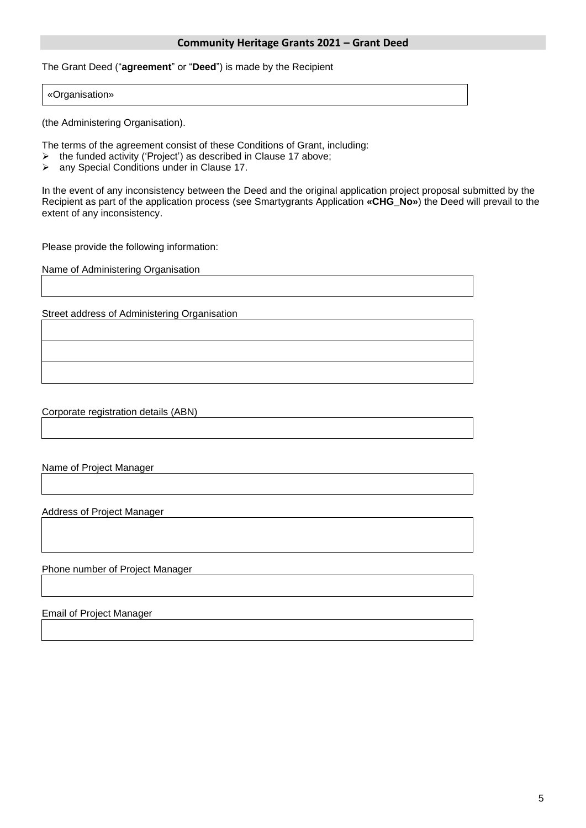#### **Community Heritage Grants 2021 – Grant Deed**

The Grant Deed ("**agreement**" or "**Deed**") is made by the Recipient

#### «Organisation»

(the Administering Organisation).

The terms of the agreement consist of these Conditions of Grant, including:

- $\geq$  the funded activity ('Project') as described in Clause 17 above;<br>  $\geq$  any Special Conditions under in Clause 17.
- ➢ any Special Conditions under in Clause 17.

In the event of any inconsistency between the Deed and the original application project proposal submitted by the Recipient as part of the application process (see Smartygrants Application **«CHG\_No»**) the Deed will prevail to the extent of any inconsistency.

Please provide the following information:

Name of Administering Organisation

Street address of Administering Organisation

Corporate registration details (ABN)

Name of Project Manager

Address of Project Manager

Phone number of Project Manager

Email of Project Manager